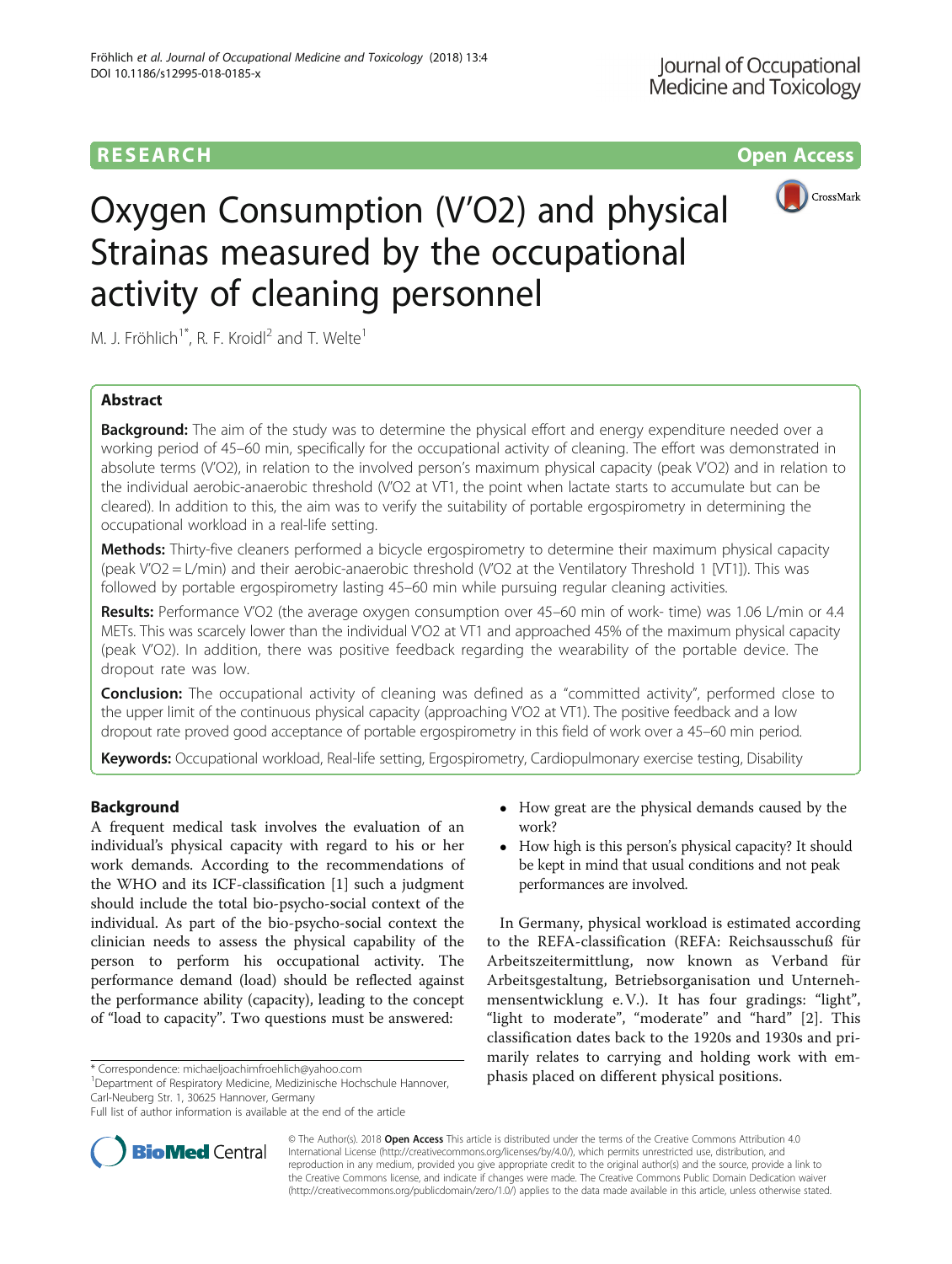# **RESEARCH CHINESE ARCH CHINESE ARCH CHINESE ARCH**



# Oxygen Consumption (V'O2) and physical Strainas measured by the occupational activity of cleaning personnel

M. J. Fröhlich<sup>1\*</sup>, R. F. Kroidl<sup>2</sup> and T. Welte<sup>1</sup>

# Abstract

**Background:** The aim of the study was to determine the physical effort and energy expenditure needed over a working period of 45–60 min, specifically for the occupational activity of cleaning. The effort was demonstrated in absolute terms (V'O2), in relation to the involved person's maximum physical capacity (peak V'O2) and in relation to the individual aerobic-anaerobic threshold (V'O2 at VT1, the point when lactate starts to accumulate but can be cleared). In addition to this, the aim was to verify the suitability of portable ergospirometry in determining the occupational workload in a real-life setting.

Methods: Thirty-five cleaners performed a bicycle ergospirometry to determine their maximum physical capacity (peak V'O2 = L/min) and their aerobic-anaerobic threshold (V'O2 at the Ventilatory Threshold 1 [VT1]). This was followed by portable ergospirometry lasting 45–60 min while pursuing regular cleaning activities.

Results: Performance V'O2 (the average oxygen consumption over 45–60 min of work- time) was 1.06 L/min or 4.4 METs. This was scarcely lower than the individual V'O2 at VT1 and approached 45% of the maximum physical capacity (peak V'O2). In addition, there was positive feedback regarding the wearability of the portable device. The dropout rate was low.

**Conclusion:** The occupational activity of cleaning was defined as a "committed activity", performed close to the upper limit of the continuous physical capacity (approaching V'O2 at VT1). The positive feedback and a low dropout rate proved good acceptance of portable ergospirometry in this field of work over a 45–60 min period.

Keywords: Occupational workload, Real-life setting, Ergospirometry, Cardiopulmonary exercise testing, Disability

# Background

A frequent medical task involves the evaluation of an individual's physical capacity with regard to his or her work demands. According to the recommendations of the WHO and its ICF-classification [\[1](#page-5-0)] such a judgment should include the total bio-psycho-social context of the individual. As part of the bio-psycho-social context the clinician needs to assess the physical capability of the person to perform his occupational activity. The performance demand (load) should be reflected against the performance ability (capacity), leading to the concept of "load to capacity". Two questions must be answered:

<sup>1</sup>Department of Respiratory Medicine, Medizinische Hochschule Hannover, Carl-Neuberg Str. 1, 30625 Hannover, Germany



• How high is this person's physical capacity? It should be kept in mind that usual conditions and not peak performances are involved.

In Germany, physical workload is estimated according to the REFA-classification (REFA: Reichsausschuß für Arbeitszeitermittlung, now known as Verband für Arbeitsgestaltung, Betriebsorganisation und Unternehmensentwicklung e.V.). It has four gradings: "light", "light to moderate", "moderate" and "hard" [\[2](#page-5-0)]. This classification dates back to the 1920s and 1930s and primarily relates to carrying and holding work with emphasis placed on different physical positions. \* Correspondence: [michaeljoachimfroehlich@yahoo.com](mailto:michaeljoachimfroehlich@yahoo.com) <sup>1</sup>



© The Author(s). 2018 Open Access This article is distributed under the terms of the Creative Commons Attribution 4.0 International License [\(http://creativecommons.org/licenses/by/4.0/](http://creativecommons.org/licenses/by/4.0/)), which permits unrestricted use, distribution, and reproduction in any medium, provided you give appropriate credit to the original author(s) and the source, provide a link to the Creative Commons license, and indicate if changes were made. The Creative Commons Public Domain Dedication waiver [\(http://creativecommons.org/publicdomain/zero/1.0/](http://creativecommons.org/publicdomain/zero/1.0/)) applies to the data made available in this article, unless otherwise stated.

Full list of author information is available at the end of the article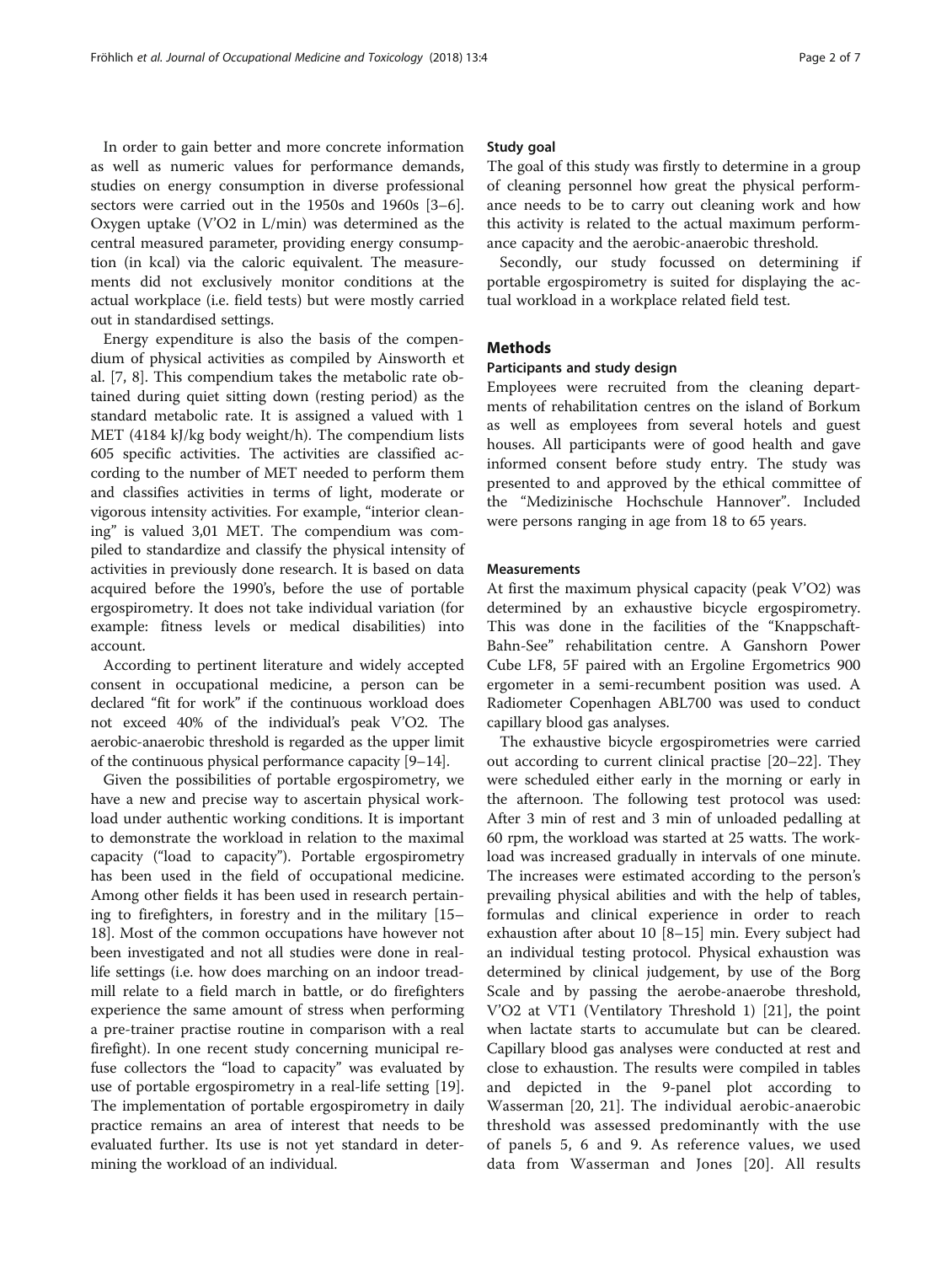In order to gain better and more concrete information as well as numeric values for performance demands, studies on energy consumption in diverse professional sectors were carried out in the 1950s and 1960s [\[3](#page-5-0)–[6](#page-5-0)]. Oxygen uptake (V'O2 in L/min) was determined as the central measured parameter, providing energy consumption (in kcal) via the caloric equivalent. The measurements did not exclusively monitor conditions at the actual workplace (i.e. field tests) but were mostly carried out in standardised settings.

Energy expenditure is also the basis of the compendium of physical activities as compiled by Ainsworth et al. [\[7](#page-5-0), [8](#page-5-0)]. This compendium takes the metabolic rate obtained during quiet sitting down (resting period) as the standard metabolic rate. It is assigned a valued with 1 MET (4184 kJ/kg body weight/h). The compendium lists 605 specific activities. The activities are classified according to the number of MET needed to perform them and classifies activities in terms of light, moderate or vigorous intensity activities. For example, "interior cleaning" is valued 3,01 MET. The compendium was compiled to standardize and classify the physical intensity of activities in previously done research. It is based on data acquired before the 1990's, before the use of portable ergospirometry. It does not take individual variation (for example: fitness levels or medical disabilities) into account.

According to pertinent literature and widely accepted consent in occupational medicine, a person can be declared "fit for work" if the continuous workload does not exceed 40% of the individual's peak V'O2. The aerobic-anaerobic threshold is regarded as the upper limit of the continuous physical performance capacity [[9](#page-5-0)–[14](#page-5-0)].

Given the possibilities of portable ergospirometry, we have a new and precise way to ascertain physical workload under authentic working conditions. It is important to demonstrate the workload in relation to the maximal capacity ("load to capacity"). Portable ergospirometry has been used in the field of occupational medicine. Among other fields it has been used in research pertaining to firefighters, in forestry and in the military [[15](#page-5-0)– [18\]](#page-5-0). Most of the common occupations have however not been investigated and not all studies were done in reallife settings (i.e. how does marching on an indoor treadmill relate to a field march in battle, or do firefighters experience the same amount of stress when performing a pre-trainer practise routine in comparison with a real firefight). In one recent study concerning municipal refuse collectors the "load to capacity" was evaluated by use of portable ergospirometry in a real-life setting [\[19](#page-5-0)]. The implementation of portable ergospirometry in daily practice remains an area of interest that needs to be evaluated further. Its use is not yet standard in determining the workload of an individual.

## Study goal

The goal of this study was firstly to determine in a group of cleaning personnel how great the physical performance needs to be to carry out cleaning work and how this activity is related to the actual maximum performance capacity and the aerobic-anaerobic threshold.

Secondly, our study focussed on determining if portable ergospirometry is suited for displaying the actual workload in a workplace related field test.

# **Methods**

# Participants and study design

Employees were recruited from the cleaning departments of rehabilitation centres on the island of Borkum as well as employees from several hotels and guest houses. All participants were of good health and gave informed consent before study entry. The study was presented to and approved by the ethical committee of the "Medizinische Hochschule Hannover". Included were persons ranging in age from 18 to 65 years.

## Measurements

At first the maximum physical capacity (peak V'O2) was determined by an exhaustive bicycle ergospirometry. This was done in the facilities of the "Knappschaft-Bahn-See" rehabilitation centre. A Ganshorn Power Cube LF8, 5F paired with an Ergoline Ergometrics 900 ergometer in a semi-recumbent position was used. A Radiometer Copenhagen ABL700 was used to conduct capillary blood gas analyses.

The exhaustive bicycle ergospirometries were carried out according to current clinical practise [\[20](#page-6-0)–[22\]](#page-6-0). They were scheduled either early in the morning or early in the afternoon. The following test protocol was used: After 3 min of rest and 3 min of unloaded pedalling at 60 rpm, the workload was started at 25 watts. The workload was increased gradually in intervals of one minute. The increases were estimated according to the person's prevailing physical abilities and with the help of tables, formulas and clinical experience in order to reach exhaustion after about 10 [\[8](#page-5-0)–[15\]](#page-5-0) min. Every subject had an individual testing protocol. Physical exhaustion was determined by clinical judgement, by use of the Borg Scale and by passing the aerobe-anaerobe threshold, V'O2 at VT1 (Ventilatory Threshold 1) [\[21](#page-6-0)], the point when lactate starts to accumulate but can be cleared. Capillary blood gas analyses were conducted at rest and close to exhaustion. The results were compiled in tables and depicted in the 9-panel plot according to Wasserman [[20, 21](#page-6-0)]. The individual aerobic-anaerobic threshold was assessed predominantly with the use of panels 5, 6 and 9. As reference values, we used data from Wasserman and Jones [[20\]](#page-6-0). All results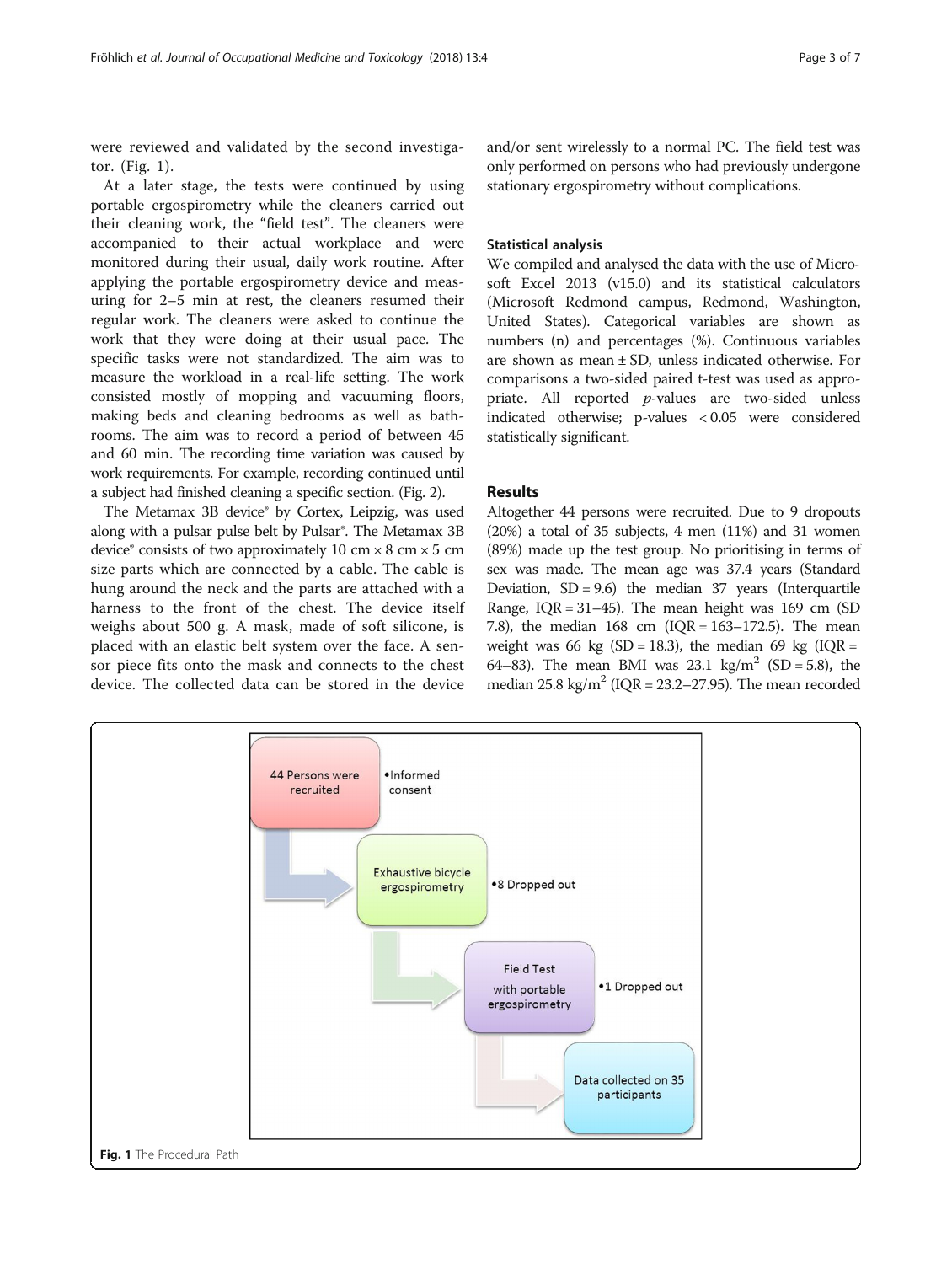were reviewed and validated by the second investigator. (Fig. 1).

At a later stage, the tests were continued by using portable ergospirometry while the cleaners carried out their cleaning work, the "field test". The cleaners were accompanied to their actual workplace and were monitored during their usual, daily work routine. After applying the portable ergospirometry device and measuring for 2–5 min at rest, the cleaners resumed their regular work. The cleaners were asked to continue the work that they were doing at their usual pace. The specific tasks were not standardized. The aim was to measure the workload in a real-life setting. The work consisted mostly of mopping and vacuuming floors, making beds and cleaning bedrooms as well as bathrooms. The aim was to record a period of between 45 and 60 min. The recording time variation was caused by work requirements. For example, recording continued until a subject had finished cleaning a specific section. (Fig. [2\)](#page-3-0).

The Metamax 3B device® by Cortex, Leipzig, was used along with a pulsar pulse belt by Pulsar®. The Metamax 3B device<sup>®</sup> consists of two approximately 10 cm  $\times$  8 cm  $\times$  5 cm size parts which are connected by a cable. The cable is hung around the neck and the parts are attached with a harness to the front of the chest. The device itself weighs about 500 g. A mask, made of soft silicone, is placed with an elastic belt system over the face. A sensor piece fits onto the mask and connects to the chest device. The collected data can be stored in the device

and/or sent wirelessly to a normal PC. The field test was only performed on persons who had previously undergone stationary ergospirometry without complications.

## Statistical analysis

We compiled and analysed the data with the use of Microsoft Excel 2013 (v15.0) and its statistical calculators (Microsoft Redmond campus, Redmond, Washington, United States). Categorical variables are shown as numbers (n) and percentages (%). Continuous variables are shown as mean ± SD, unless indicated otherwise. For comparisons a two-sided paired t-test was used as appropriate. All reported p-values are two-sided unless indicated otherwise; p-values < 0.05 were considered statistically significant.

# Results

Altogether 44 persons were recruited. Due to 9 dropouts (20%) a total of 35 subjects, 4 men (11%) and 31 women (89%) made up the test group. No prioritising in terms of sex was made. The mean age was 37.4 years (Standard Deviation,  $SD = 9.6$ ) the median 37 years (Interquartile Range, IQR = 31–45). The mean height was 169 cm (SD 7.8), the median  $168$  cm (IQR = 163-172.5). The mean weight was 66 kg (SD = 18.3), the median 69 kg (IQR = 64–83). The mean BMI was 23.1 kg/m<sup>2</sup> (SD = 5.8), the median  $25.8 \text{ kg/m}^2$  (IQR =  $23.2-27.95$ ). The mean recorded

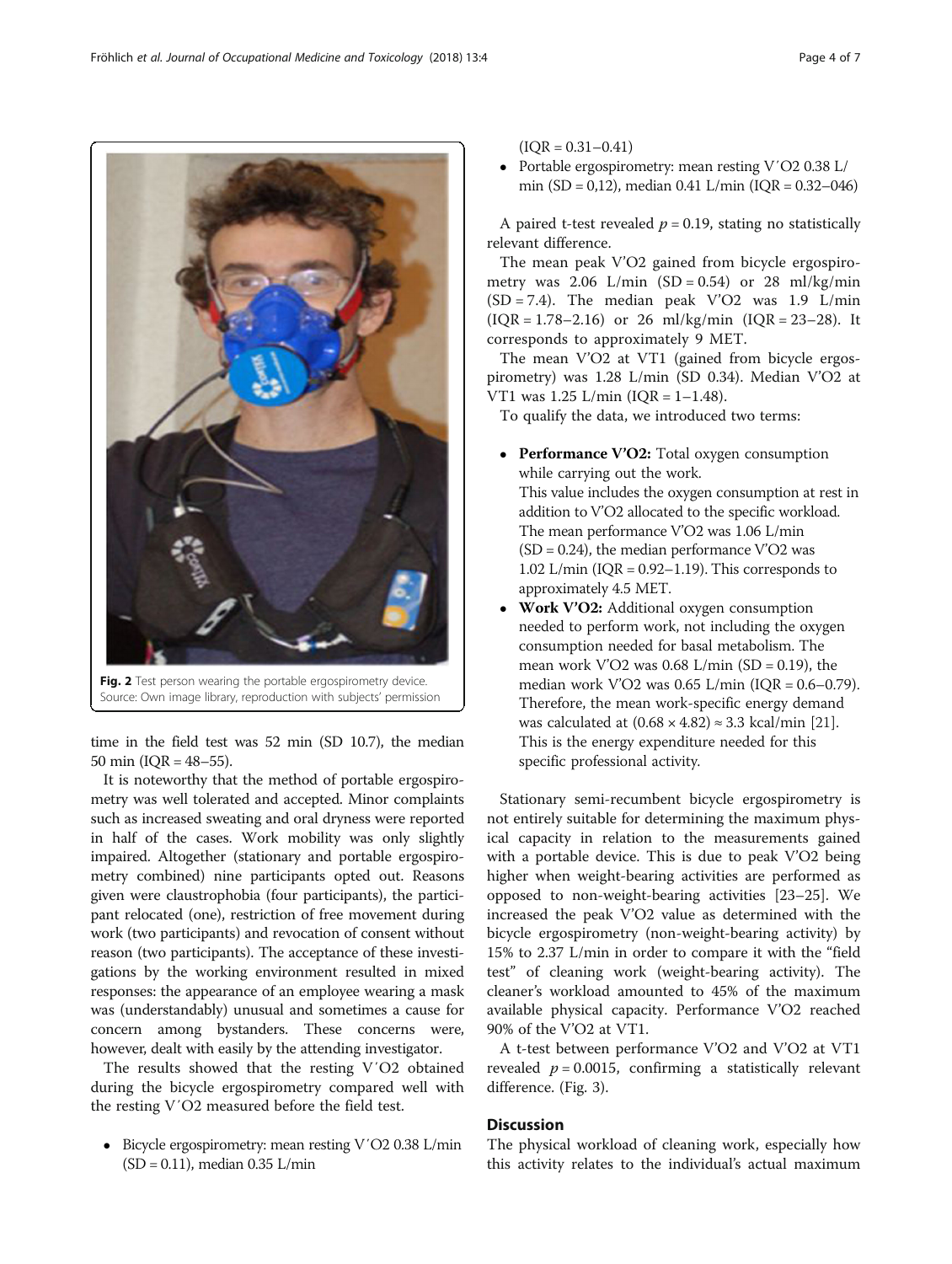time in the field test was 52 min (SD 10.7), the median 50 min (IQR = 48–55).

It is noteworthy that the method of portable ergospirometry was well tolerated and accepted. Minor complaints such as increased sweating and oral dryness were reported in half of the cases. Work mobility was only slightly impaired. Altogether (stationary and portable ergospirometry combined) nine participants opted out. Reasons given were claustrophobia (four participants), the participant relocated (one), restriction of free movement during work (two participants) and revocation of consent without reason (two participants). The acceptance of these investigations by the working environment resulted in mixed responses: the appearance of an employee wearing a mask was (understandably) unusual and sometimes a cause for concern among bystanders. These concerns were, however, dealt with easily by the attending investigator.

The results showed that the resting V′O2 obtained during the bicycle ergospirometry compared well with the resting V′O2 measured before the field test.

 Bicycle ergospirometry: mean resting V′O2 0.38 L/min (SD = 0.11), median 0.35 L/min

 $(IOR = 0.31 - 0.41)$ 

 Portable ergospirometry: mean resting V′O2 0.38 L/ min (SD = 0,12), median 0.41 L/min (IOR =  $0.32-046$ )

A paired t-test revealed  $p = 0.19$ , stating no statistically relevant difference.

The mean peak V'O2 gained from bicycle ergospirometry was 2.06 L/min  $(SD = 0.54)$  or 28 ml/kg/min  $(SD = 7.4)$ . The median peak V'O2 was 1.9 L/min  $( IQR = 1.78 - 2.16)$  or 26 ml/kg/min  $( IQR = 23 - 28)$ . It corresponds to approximately 9 MET.

The mean V'O2 at VT1 (gained from bicycle ergospirometry) was 1.28 L/min (SD 0.34). Median V'O2 at VT1 was  $1.25$  L/min (IOR =  $1-1.48$ ).

To qualify the data, we introduced two terms:

- Performance V'O2: Total oxygen consumption while carrying out the work. This value includes the oxygen consumption at rest in addition to V'O2 allocated to the specific workload. The mean performance V'O2 was 1.06 L/min  $(SD = 0.24)$ , the median performance V'O2 was 1.02 L/min  $(IOR = 0.92 - 1.19)$ . This corresponds to approximately 4.5 MET.
- Work V'O2: Additional oxygen consumption needed to perform work, not including the oxygen consumption needed for basal metabolism. The mean work V'O2 was  $0.68$  L/min (SD = 0.19), the median work V'O2 was 0.65 L/min (IQR = 0.6–0.79). Therefore, the mean work-specific energy demand was calculated at  $(0.68 \times 4.82) \approx 3.3$  kcal/min [\[21\]](#page-6-0). This is the energy expenditure needed for this specific professional activity.

Stationary semi-recumbent bicycle ergospirometry is not entirely suitable for determining the maximum physical capacity in relation to the measurements gained with a portable device. This is due to peak V'O2 being higher when weight-bearing activities are performed as opposed to non-weight-bearing activities [[23](#page-6-0)–[25](#page-6-0)]. We increased the peak V'O2 value as determined with the bicycle ergospirometry (non-weight-bearing activity) by 15% to 2.37 L/min in order to compare it with the "field test" of cleaning work (weight-bearing activity). The cleaner's workload amounted to 45% of the maximum available physical capacity. Performance V'O2 reached 90% of the V'O2 at VT1.

A t-test between performance V'O2 and V'O2 at VT1 revealed  $p = 0.0015$ , confirming a statistically relevant difference. (Fig. [3\)](#page-4-0).

# **Discussion**

The physical workload of cleaning work, especially how this activity relates to the individual's actual maximum

<span id="page-3-0"></span>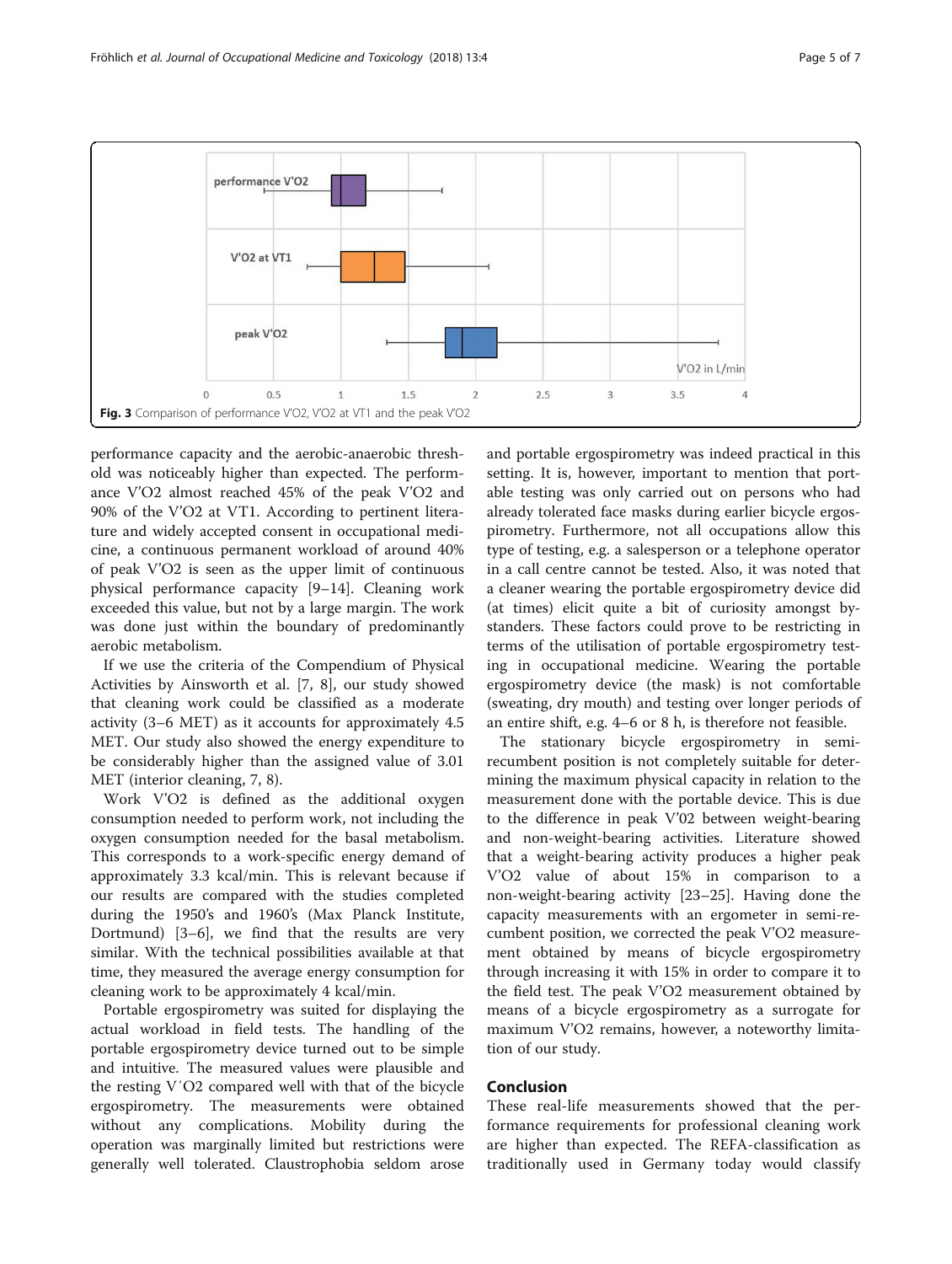<span id="page-4-0"></span>

performance capacity and the aerobic-anaerobic threshold was noticeably higher than expected. The performance V'O2 almost reached 45% of the peak V'O2 and 90% of the V'O2 at VT1. According to pertinent literature and widely accepted consent in occupational medicine, a continuous permanent workload of around 40% of peak V'O2 is seen as the upper limit of continuous physical performance capacity [[9](#page-5-0)–[14](#page-5-0)]. Cleaning work exceeded this value, but not by a large margin. The work was done just within the boundary of predominantly aerobic metabolism.

If we use the criteria of the Compendium of Physical Activities by Ainsworth et al. [[7, 8](#page-5-0)], our study showed that cleaning work could be classified as a moderate activity (3–6 MET) as it accounts for approximately 4.5 MET. Our study also showed the energy expenditure to be considerably higher than the assigned value of 3.01 MET (interior cleaning, 7, 8).

Work V'O2 is defined as the additional oxygen consumption needed to perform work, not including the oxygen consumption needed for the basal metabolism. This corresponds to a work-specific energy demand of approximately 3.3 kcal/min. This is relevant because if our results are compared with the studies completed during the 1950's and 1960's (Max Planck Institute, Dortmund) [[3](#page-5-0)–[6](#page-5-0)], we find that the results are very similar. With the technical possibilities available at that time, they measured the average energy consumption for cleaning work to be approximately 4 kcal/min.

Portable ergospirometry was suited for displaying the actual workload in field tests. The handling of the portable ergospirometry device turned out to be simple and intuitive. The measured values were plausible and the resting V′O2 compared well with that of the bicycle ergospirometry. The measurements were obtained without any complications. Mobility during the operation was marginally limited but restrictions were generally well tolerated. Claustrophobia seldom arose

and portable ergospirometry was indeed practical in this setting. It is, however, important to mention that portable testing was only carried out on persons who had already tolerated face masks during earlier bicycle ergospirometry. Furthermore, not all occupations allow this type of testing, e.g. a salesperson or a telephone operator in a call centre cannot be tested. Also, it was noted that a cleaner wearing the portable ergospirometry device did (at times) elicit quite a bit of curiosity amongst bystanders. These factors could prove to be restricting in terms of the utilisation of portable ergospirometry testing in occupational medicine. Wearing the portable ergospirometry device (the mask) is not comfortable (sweating, dry mouth) and testing over longer periods of an entire shift, e.g. 4–6 or 8 h, is therefore not feasible.

The stationary bicycle ergospirometry in semirecumbent position is not completely suitable for determining the maximum physical capacity in relation to the measurement done with the portable device. This is due to the difference in peak V'02 between weight-bearing and non-weight-bearing activities. Literature showed that a weight-bearing activity produces a higher peak V'O2 value of about 15% in comparison to a non-weight-bearing activity [[23](#page-6-0)–[25](#page-6-0)]. Having done the capacity measurements with an ergometer in semi-recumbent position, we corrected the peak V'O2 measurement obtained by means of bicycle ergospirometry through increasing it with 15% in order to compare it to the field test. The peak V'O2 measurement obtained by means of a bicycle ergospirometry as a surrogate for maximum V'O2 remains, however, a noteworthy limitation of our study.

# Conclusion

These real-life measurements showed that the performance requirements for professional cleaning work are higher than expected. The REFA-classification as traditionally used in Germany today would classify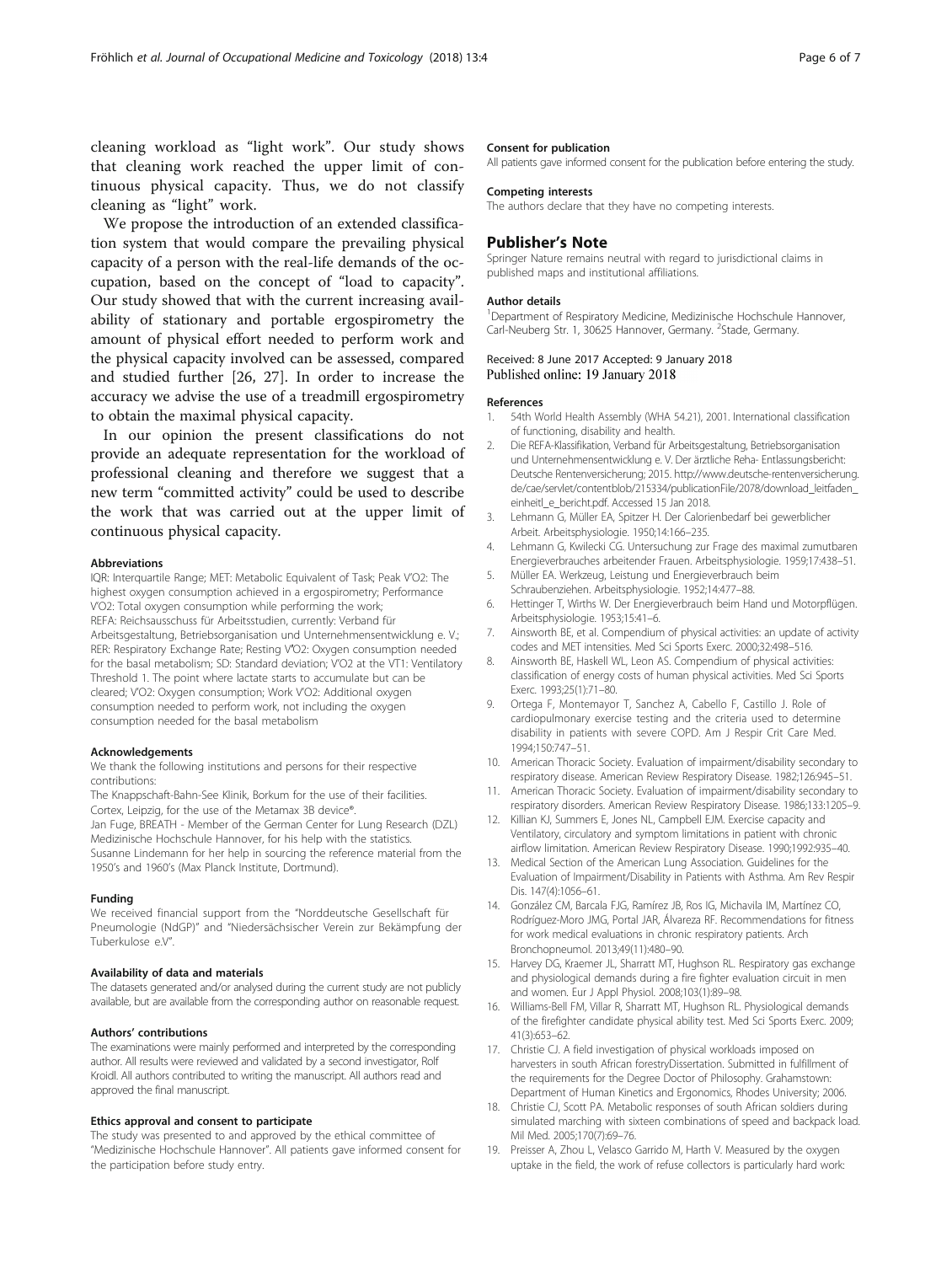<span id="page-5-0"></span>cleaning workload as "light work". Our study shows that cleaning work reached the upper limit of continuous physical capacity. Thus, we do not classify cleaning as "light" work.

We propose the introduction of an extended classification system that would compare the prevailing physical capacity of a person with the real-life demands of the occupation, based on the concept of "load to capacity". Our study showed that with the current increasing availability of stationary and portable ergospirometry the amount of physical effort needed to perform work and the physical capacity involved can be assessed, compared and studied further [\[26, 27\]](#page-6-0). In order to increase the accuracy we advise the use of a treadmill ergospirometry to obtain the maximal physical capacity.

In our opinion the present classifications do not provide an adequate representation for the workload of professional cleaning and therefore we suggest that a new term "committed activity" could be used to describe the work that was carried out at the upper limit of continuous physical capacity.

#### Abbreviations

IQR: Interquartile Range; MET: Metabolic Equivalent of Task; Peak V'O2: The highest oxygen consumption achieved in a ergospirometry; Performance V'O2: Total oxygen consumption while performing the work; REFA: Reichsausschuss für Arbeitsstudien, currently: Verband für Arbeitsgestaltung, Betriebsorganisation und Unternehmensentwicklung e. V.; RER: Respiratory Exchange Rate; Resting V′O2: Oxygen consumption needed for the basal metabolism; SD: Standard deviation; V'O2 at the VT1: Ventilatory Threshold 1. The point where lactate starts to accumulate but can be cleared; V'O2: Oxygen consumption; Work V'O2: Additional oxygen consumption needed to perform work, not including the oxygen consumption needed for the basal metabolism

#### Acknowledgements

We thank the following institutions and persons for their respective contributions:

The Knappschaft-Bahn-See Klinik, Borkum for the use of their facilities. Cortex, Leipzig, for the use of the Metamax 3B device®.

Jan Fuge, BREATH - Member of the German Center for Lung Research (DZL) Medizinische Hochschule Hannover, for his help with the statistics. Susanne Lindemann for her help in sourcing the reference material from the

1950's and 1960's (Max Planck Institute, Dortmund).

#### Funding

We received financial support from the "Norddeutsche Gesellschaft für Pneumologie (NdGP)" and "Niedersächsischer Verein zur Bekämpfung der Tuberkulose e.V".

### Availability of data and materials

The datasets generated and/or analysed during the current study are not publicly available, but are available from the corresponding author on reasonable request.

#### Authors' contributions

The examinations were mainly performed and interpreted by the corresponding author. All results were reviewed and validated by a second investigator, Rolf Kroidl. All authors contributed to writing the manuscript. All authors read and approved the final manuscript.

#### Ethics approval and consent to participate

The study was presented to and approved by the ethical committee of "Medizinische Hochschule Hannover". All patients gave informed consent for the participation before study entry.

#### Consent for publication

All patients gave informed consent for the publication before entering the study.

## Competing interests

The authors declare that they have no competing interests.

## Publisher's Note

Springer Nature remains neutral with regard to jurisdictional claims in published maps and institutional affiliations.

#### Author details

1 Department of Respiratory Medicine, Medizinische Hochschule Hannover, Carl-Neuberg Str. 1, 30625 Hannover, Germany. <sup>2</sup>Stade, Germany.

## Received: 8 June 2017 Accepted: 9 January 2018 Published online: 19 January 2018

#### References

- 1. 54th World Health Assembly (WHA 54.21), 2001. International classification of functioning, disability and health.
- 2. Die REFA-Klassifikation, Verband für Arbeitsgestaltung, Betriebsorganisation und Unternehmensentwicklung e. V. Der ärztliche Reha- Entlassungsbericht: Deutsche Rentenversicherung; 2015. [http://www.deutsche-rentenversicherung.](http://www.deutsche-rentenversicherung.de/cae/servlet/contentblob/215334/publicationFile/2078/download_leitfaden_einheitl_e_bericht.pdf) [de/cae/servlet/contentblob/215334/publicationFile/2078/download\\_leitfaden\\_](http://www.deutsche-rentenversicherung.de/cae/servlet/contentblob/215334/publicationFile/2078/download_leitfaden_einheitl_e_bericht.pdf) [einheitl\\_e\\_bericht.pdf.](http://www.deutsche-rentenversicherung.de/cae/servlet/contentblob/215334/publicationFile/2078/download_leitfaden_einheitl_e_bericht.pdf) Accessed 15 Jan 2018.
- 3. Lehmann G, Müller EA, Spitzer H. Der Calorienbedarf bei gewerblicher Arbeit. Arbeitsphysiologie. 1950;14:166–235.
- 4. Lehmann G, Kwilecki CG. Untersuchung zur Frage des maximal zumutbaren Energieverbrauches arbeitender Frauen. Arbeitsphysiologie. 1959;17:438–51.
- 5. Müller EA. Werkzeug, Leistung und Energieverbrauch beim Schraubenziehen. Arbeitsphysiologie. 1952;14:477–88.
- 6. Hettinger T, Wirths W. Der Energieverbrauch beim Hand und Motorpflügen. Arbeitsphysiologie. 1953;15:41–6.
- 7. Ainsworth BE, et al. Compendium of physical activities: an update of activity codes and MET intensities. Med Sci Sports Exerc. 2000;32:498–516.
- Ainsworth BE, Haskell WL, Leon AS. Compendium of physical activities: classification of energy costs of human physical activities. Med Sci Sports Exerc. 1993;25(1):71–80.
- 9. Ortega F, Montemayor T, Sanchez A, Cabello F, Castillo J. Role of cardiopulmonary exercise testing and the criteria used to determine disability in patients with severe COPD. Am J Respir Crit Care Med. 1994;150:747–51.
- 10. American Thoracic Society. Evaluation of impairment/disability secondary to respiratory disease. American Review Respiratory Disease. 1982;126:945–51.
- 11. American Thoracic Society. Evaluation of impairment/disability secondary to respiratory disorders. American Review Respiratory Disease. 1986;133:1205–9.
- 12. Killian KJ, Summers E, Jones NL, Campbell EJM. Exercise capacity and Ventilatory, circulatory and symptom limitations in patient with chronic airflow limitation. American Review Respiratory Disease. 1990;1992:935–40.
- 13. Medical Section of the American Lung Association. Guidelines for the Evaluation of Impairment/Disability in Patients with Asthma. Am Rev Respir Dis. 147(4):1056–61.
- 14. González CM, Barcala FJG, Ramírez JB, Ros IG, Michavila IM, Martínez CO, Rodríguez-Moro JMG, Portal JAR, Álvareza RF. Recommendations for fitness for work medical evaluations in chronic respiratory patients. Arch Bronchopneumol. 2013;49(11):480–90.
- 15. Harvey DG, Kraemer JL, Sharratt MT, Hughson RL. Respiratory gas exchange and physiological demands during a fire fighter evaluation circuit in men and women. Eur J Appl Physiol. 2008;103(1):89–98.
- 16. Williams-Bell FM, Villar R, Sharratt MT, Hughson RL. Physiological demands of the firefighter candidate physical ability test. Med Sci Sports Exerc. 2009; 41(3):653–62.
- 17. Christie CJ. A field investigation of physical workloads imposed on harvesters in south African forestryDissertation. Submitted in fulfillment of the requirements for the Degree Doctor of Philosophy. Grahamstown: Department of Human Kinetics and Ergonomics, Rhodes University; 2006.
- 18. Christie CJ, Scott PA. Metabolic responses of south African soldiers during simulated marching with sixteen combinations of speed and backpack load. Mil Med. 2005;170(7):69–76.
- 19. Preisser A, Zhou L, Velasco Garrido M, Harth V. Measured by the oxygen uptake in the field, the work of refuse collectors is particularly hard work: